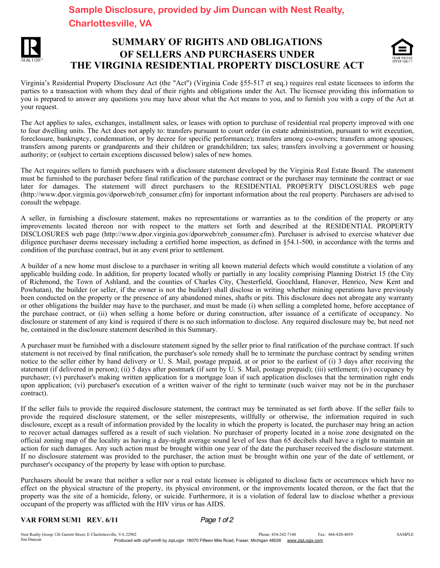## **Charlottesville, VA**



## SUMMARY OF RIGHTS AND OBLIGATIONS OF SELLERS AND PURCHASERS UNDER THE VIRGINIA RESIDENTIAL PROPERTY DISCLOSURE ACT



Virginia's Residential Property Disclosure Act (the "Act") (Virginia Code §55-517 et seq.) requires real estate licensees to inform the parties to a transaction with whom they deal of their rights and obligations under the Act. The licensee providing this information to you is prepared to answer any questions you may have about what the Act means to you, and to furnish you with a copy of the Act at your request.

The Act applies to sales, exchanges, installment sales, or leases with option to purchase of residential real property improved with one to four dwelling units. The Act does not apply to: transfers pursuant to court order (in estate administration, pursuant to writ execution, foreclosure, bankruptcy, condemnation, or by decree for specific performance); transfers among co-owners; transfers among spouses; transfers among parents or grandparents and their children or grandchildren; tax sales; transfers involving a government or housing authority; or (subject to certain exceptions discussed below) sales of new homes.

The Act requires sellers to furnish purchasers with a disclosure statement developed by the Virginia Real Estate Board. The statement must be furnished to the purchaser before final ratification of the purchase contract or the purchaser may terminate the contract or sue later for damages. The statement will direct purchasers to the RESIDENTIAL PROPERTY DISCLOSURES web page (http://www.dpor.virginia.gov/dporweb/reb\_consumer.cfm) for important information about the real property. Purchasers are advised to consult the webpage.

A seller, in furnishing a disclosure statement, makes no representations or warranties as to the condition of the property or any improvements located thereon nor with respect to the matters set forth and described at the RESIDENTIAL PROPERTY DISCLOSURES web page (http://www.dpor.virginia.gov/dporweb/reb\_consumer.cfm). Purchaser is advised to exercise whatever due diligence purchaser deems necessary including a certified home inspection, as defined in §54.1-500, in accordance with the terms and condition of the purchase contract, but in any event prior to settlement.

A builder of a new home must disclose to a purchaser in writing all known material defects which would constitute a violation of any applicable building code. In addition, for property located wholly or partially in any locality comprising Planning District 15 (the City of Richmond, the Town of Ashland, and the counties of Charles City, Chesterfield, Goochland, Hanover, Henrico, New Kent and Powhatan), the builder (or seller, if the owner is not the builder) shall disclose in writing whether mining operations have previously been conducted on the property or the presence of any abandoned mines, shafts or pits. This disclosure does not abrogate any warranty or other obligations the builder may have to the purchaser, and must be made (i) when selling a completed home, before acceptance of the purchase contract, or (ii) when selling a home before or during construction, after issuance of a certificate of occupancy. No disclosure or statement of any kind is required if there is no such information to disclose. Any required disclosure may be, but need not be, contained in the disclosure statement described in this Summary. **Sample Disclosure, provided by Jim Duncan with Nest Realty,**<br> **Charlottesure, Sample Disclosure, Provided by Jim Duncan with Nest Realty,**<br> **Jim SUMMARY OF RIGHTS AND OBLIGATIONS**<br> **THE VIRGINNA RRY OF RIGHTS AND OBLIGATI** 

A purchaser must be furnished with a disclosure statement signed by the seller prior to final ratification of the purchase contract. If such statement is not received by final ratification, the purchaser's sole remedy shall be to terminate the purchase contract by sending written notice to the seller either by hand delivery or U. S. Mail, postage prepaid, at or prior to the earliest of (i) 3 days after receiving the statement (if delivered in person); (ii) 5 days after postmark (if sent by U. S. Mail, postage prepaid); (iii) settlement; (iv) occupancy by purchaser; (v) purchaser's making written application for a mortgage loan if such application discloses that the termination right ends upon application; (vi) purchaser's execution of a written waiver of the right to terminate (such waiver may not be in the purchaser contract).

If the seller fails to provide the required disclosure statement, the contract may be terminated as set forth above. If the seller fails to provide the required disclosure statement, or the seller misrepresents, willfully or otherwise, the information required in such disclosure, except as a result of information provided by the locality in which the property is located, the purchaser may bring an action to recover actual damages suffered as a result of such violation. No purchaser of property located in a noise zone designated on the official zoning map of the locality as having a day-night average sound level of less than 65 decibels shall have a right to maintain an action for such damages. Any such action must be brought within one year of the date the purchaser received the disclosure statement. If no disclosure statement was provided to the purchaser, the action must be brought within one year of the date of settlement, or purchaser's occupancy of the property by lease with option to purchase.

Purchasers should be aware that neither a seller nor a real estate licensee is obligated to disclose facts or occurrences which have no effect on the physical structure of the property, its physical environment, or the improvements located thereon, or the fact that the property was the site of a homicide, felony, or suicide. Furthermore, it is a violation of federal law to disclose whether a previous occupant of the property was afflicted with the HIV virus or has AIDS.

## VAR FORM SUM1 REV. 6/11 *Page 1 of 2*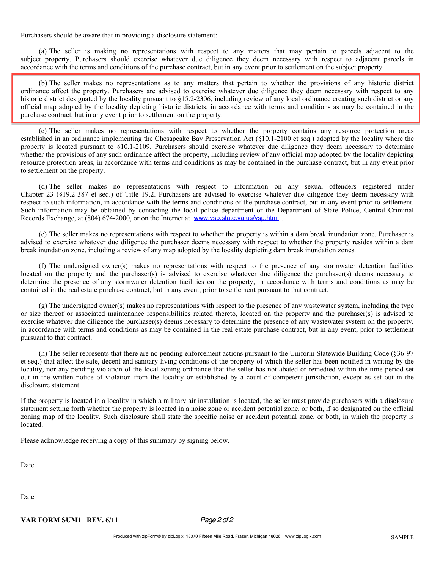Purchasers should be aware that in providing a disclosure statement:

(a) The seller is making no representations with respect to any matters that may pertain to parcels adjacent to the subject property. Purchasers should exercise whatever due diligence they deem necessary with respect to adjacent parcels in accordance with the terms and conditions of the purchase contract, but in any event prior to settlement on the subject property.

(b) The seller makes no representations as to any matters that pertain to whether the provisions of any historic district ordinance affect the property. Purchasers are advised to exercise whatever due diligence they deem necessary with respect to any historic district designated by the locality pursuant to §15.2-2306, including review of any local ordinance creating such district or any official map adopted by the locality depicting historic districts, in accordance with terms and conditions as may be contained in the purchase contract, but in any event prior to settlement on the property.

(c) The seller makes no representations with respect to whether the property contains any resource protection areas established in an ordinance implementing the Chesapeake Bay Preservation Act (§10.1-2100 et seq.) adopted by the locality where the property is located pursuant to §10.1-2109. Purchasers should exercise whatever due diligence they deem necessary to determine whether the provisions of any such ordinance affect the property, including review of any official map adopted by the locality depicting resource protection areas, in accordance with terms and conditions as may be contained in the purchase contract, but in any event prior to settlement on the property.

(d) The seller makes no representations with respect to information on any sexual offenders registered under Chapter 23 (§19.2-387 et seq.) of Title 19.2. Purchasers are advised to exercise whatever due diligence they deem necessary with respect to such information, in accordance with the terms and conditions of the purchase contract, but in any event prior to settlement. Such information may be obtained by contacting the local police department or the Department of State Police, Central Criminal Records Exchange, at (804) 674-2000, or on the Internet at www.vsp.state.va.us/vsp.html .

(e) The seller makes no representations with respect to whether the property is within a dam break inundation zone. Purchaser is advised to exercise whatever due diligence the purchaser deems necessary with respect to whether the property resides within a dam break inundation zone, including a review of any map adopted by the locality depicting dam break inundation zones.

(f) The undersigned owner(s) makes no representations with respect to the presence of any stormwater detention facilities located on the property and the purchaser(s) is advised to exercise whatever due diligence the purchaser(s) deems necessary to determine the presence of any stormwater detention facilities on the property, in accordance with terms and conditions as may be contained in the real estate purchase contract, but in any event, prior to settlement pursuant to that contract.

(g) The undersigned owner(s) makes no representations with respect to the presence of any wastewater system, including the type or size thereof or associated maintenance responsibilities related thereto, located on the property and the purchaser(s) is advised to exercise whatever due diligence the purchaser(s) deems necessary to determine the presence of any wastewater system on the property, in accordance with terms and conditions as may be contained in the real estate purchase contract, but in any event, prior to settlement pursuant to that contract.

(h) The seller represents that there are no pending enforcement actions pursuant to the Uniform Statewide Building Code (§36-97 et seq.) that affect the safe, decent and sanitary living conditions of the property of which the seller has been notified in writing by the locality, nor any pending violation of the local zoning ordinance that the seller has not abated or remedied within the time period set out in the written notice of violation from the locality or established by a court of competent jurisdiction, except as set out in the disclosure statement.

If the property is located in a locality in which a military air installation is located, the seller must provide purchasers with a disclosure statement setting forth whether the property is located in a noise zone or accident potential zone, or both, if so designated on the official zoning map of the locality. Such disclosure shall state the specific noise or accident potential zone, or both, in which the property is located.

Please acknowledge receiving a copy of this summary by signing below.

<u> 1990 - Johann Barbara, martin a</u>

Date

Date

VAR FORM SUM1 REV. 6/11 *Page 2 of 2*